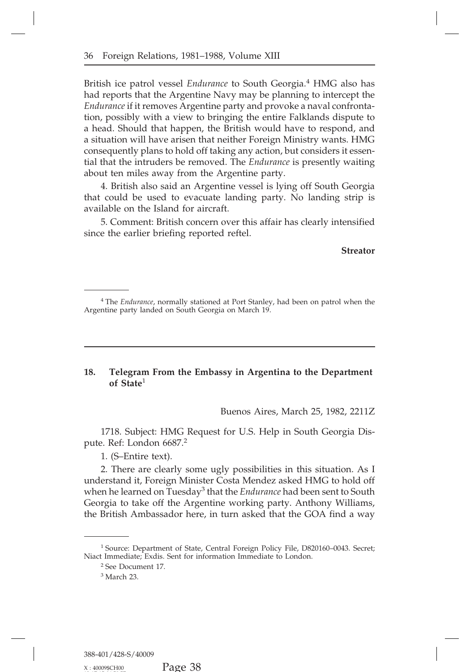**18.** Telegram From the Embassy in Argentina to the Department<br>of State<sup>1</sup><br>Buenos Aires, March 25, 1982, 2211Z **of State**1 say in Argentina to the Department<br>Buenos Aires, March 25, 1982, 2211Z<br>for U.S. Help in South Georgia Dis-

1718. Subject: HMG Request for U.S. Help in South Georgia Dis-<br>
2718. Subject: HMG Request for U.S. Help in South Georgia Dis-<br>
2718. Subject: HMG Request for U.S. Help in South Georgia Dis-<br>
21. (S-Entire text).

1718. Subject: HMG Reque<br>pute. Ref: London 6687.<sup>2</sup><br>1. (S–Entire text).<br>2. There are clearly some understand it, Foreign Minister Buenos Aires, March 25, 1982, 2211Z<br>1718. Subject: HMG Request for U.S. Help in South Georgia Dis-<br>
2. Ref: London 6687.<sup>2</sup><br>
1. (S–Entire text).<br>
2. There are clearly some ugly possibilities in this situation. As I<br>
erstan 1718. Subject: HMG Request for U.S. Help in South Georgia Dis-<br>pute. Ref: London 6687.<sup>2</sup><br>1. (S–Entire text).<br>2. There are clearly some ugly possibilities in this situation. As I<br>understand it, Foreign Minister Costa Mende Fris. Subject: FilMG Request for U.S. Help in South Georgia Dispute. Ref: London 6687.<sup>2</sup><br>1. (S–Entire text).<br>2. There are clearly some ugly possibilities in this situation. As I<br>understand it, Foreign Minister Costa Mende pute. Ref: London 6667.<br>
2. There are clearly some ugly possibilities in this situation. As I<br>
understand it, Foreign Minister Costa Mendez asked HMG to hold off<br>
when he learned on Tuesday<sup>3</sup> that the *Endurance* had been 1. (S–Entire text).<br>
2. There are clearly some ugly possibilities in this situation. As I<br>
understand it, Foreign Minister Costa Mendez asked HMG to hold off<br>
when he learned on Tuesday<sup>3</sup> that the *Endurance* had been sen Georgia to take off the Argentine working party. Anthony Williams,<br>the British Ambassador here, in turn asked that the GOA find a way<br><br><sup>1</sup> Source: Department of State, Central Foreign Policy File, D820160–0043. Secret;<br><sup>1</sup>

The British Ambassador here, in turn asked that the GOA<br>
Niact Immediate; Exdis. Sent for information Immediate to London.<br>
<sup>2</sup> See Document 17.<br>
<sup>3</sup> March 23.